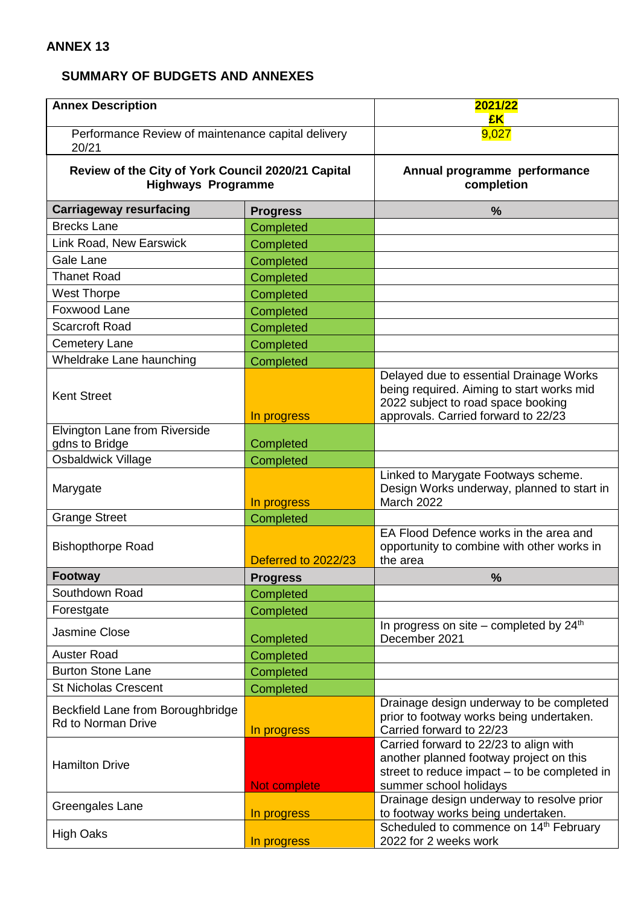## **SUMMARY OF BUDGETS AND ANNEXES**

| <b>Annex Description</b>                                                        |                     | 2021/22<br>£K                                                                                                                                                     |
|---------------------------------------------------------------------------------|---------------------|-------------------------------------------------------------------------------------------------------------------------------------------------------------------|
| Performance Review of maintenance capital delivery<br>20/21                     |                     | 9,027                                                                                                                                                             |
| Review of the City of York Council 2020/21 Capital<br><b>Highways Programme</b> |                     | Annual programme performance<br>completion                                                                                                                        |
| <b>Carriageway resurfacing</b>                                                  | <b>Progress</b>     | %                                                                                                                                                                 |
| <b>Brecks Lane</b>                                                              | Completed           |                                                                                                                                                                   |
| Link Road, New Earswick                                                         | Completed           |                                                                                                                                                                   |
| Gale Lane                                                                       | Completed           |                                                                                                                                                                   |
| <b>Thanet Road</b>                                                              | Completed           |                                                                                                                                                                   |
| <b>West Thorpe</b>                                                              | Completed           |                                                                                                                                                                   |
| Foxwood Lane                                                                    | Completed           |                                                                                                                                                                   |
| <b>Scarcroft Road</b>                                                           | Completed           |                                                                                                                                                                   |
| <b>Cemetery Lane</b>                                                            | Completed           |                                                                                                                                                                   |
| Wheldrake Lane haunching                                                        | Completed           |                                                                                                                                                                   |
| <b>Kent Street</b>                                                              | In progress         | Delayed due to essential Drainage Works<br>being required. Aiming to start works mid<br>2022 subject to road space booking<br>approvals. Carried forward to 22/23 |
| Elvington Lane from Riverside                                                   |                     |                                                                                                                                                                   |
| gdns to Bridge                                                                  | Completed           |                                                                                                                                                                   |
| Osbaldwick Village                                                              | Completed           |                                                                                                                                                                   |
| Marygate                                                                        | In progress         | Linked to Marygate Footways scheme.<br>Design Works underway, planned to start in<br>March 2022                                                                   |
| <b>Grange Street</b>                                                            | Completed           |                                                                                                                                                                   |
| <b>Bishopthorpe Road</b>                                                        | Deferred to 2022/23 | EA Flood Defence works in the area and<br>opportunity to combine with other works in<br>the area                                                                  |
| <b>Footway</b>                                                                  | <b>Progress</b>     | %                                                                                                                                                                 |
| Southdown Road                                                                  | Completed           |                                                                                                                                                                   |
| Forestgate                                                                      | Completed           |                                                                                                                                                                   |
| Jasmine Close                                                                   | Completed           | In progress on site - completed by 24 <sup>th</sup><br>December 2021                                                                                              |
| <b>Auster Road</b>                                                              | Completed           |                                                                                                                                                                   |
| <b>Burton Stone Lane</b>                                                        | Completed           |                                                                                                                                                                   |
| <b>St Nicholas Crescent</b>                                                     | Completed           |                                                                                                                                                                   |
| Beckfield Lane from Boroughbridge<br><b>Rd to Norman Drive</b>                  | In progress         | Drainage design underway to be completed<br>prior to footway works being undertaken.<br>Carried forward to 22/23                                                  |
| <b>Hamilton Drive</b>                                                           | Not complete        | Carried forward to 22/23 to align with<br>another planned footway project on this<br>street to reduce impact - to be completed in<br>summer school holidays       |
| Greengales Lane                                                                 | In progress         | Drainage design underway to resolve prior<br>to footway works being undertaken.                                                                                   |
| <b>High Oaks</b>                                                                | In progress         | Scheduled to commence on 14th February<br>2022 for 2 weeks work                                                                                                   |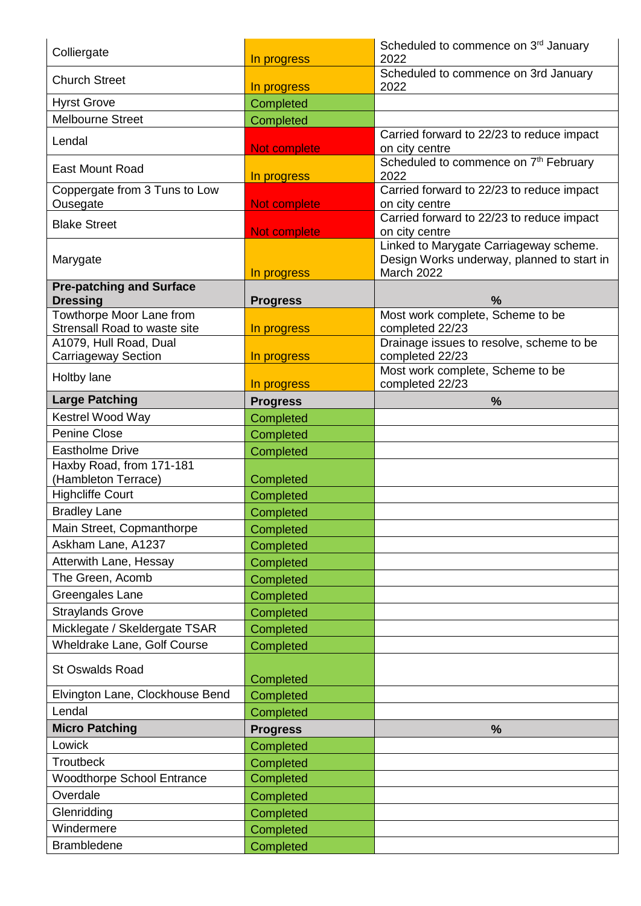| Colliergate                                              | In progress     | Scheduled to commence on 3rd January<br>2022                                                       |
|----------------------------------------------------------|-----------------|----------------------------------------------------------------------------------------------------|
| <b>Church Street</b>                                     | In progress     | Scheduled to commence on 3rd January<br>2022                                                       |
| <b>Hyrst Grove</b>                                       | Completed       |                                                                                                    |
| <b>Melbourne Street</b>                                  | Completed       |                                                                                                    |
| Lendal                                                   | Not complete    | Carried forward to 22/23 to reduce impact<br>on city centre                                        |
| <b>East Mount Road</b>                                   | In progress     | Scheduled to commence on 7 <sup>th</sup> February<br>2022                                          |
| Coppergate from 3 Tuns to Low<br>Ousegate                | Not complete    | Carried forward to 22/23 to reduce impact<br>on city centre                                        |
| <b>Blake Street</b>                                      | Not complete    | Carried forward to 22/23 to reduce impact<br>on city centre                                        |
| Marygate                                                 | In progress     | Linked to Marygate Carriageway scheme.<br>Design Works underway, planned to start in<br>March 2022 |
| <b>Pre-patching and Surface</b><br><b>Dressing</b>       | <b>Progress</b> | %                                                                                                  |
| Towthorpe Moor Lane from<br>Strensall Road to waste site | In progress     | Most work complete, Scheme to be<br>completed 22/23                                                |
| A1079, Hull Road, Dual<br><b>Carriageway Section</b>     | In progress     | Drainage issues to resolve, scheme to be<br>completed 22/23                                        |
| Holtby lane                                              | In progress     | Most work complete, Scheme to be<br>completed 22/23                                                |
| <b>Large Patching</b>                                    | <b>Progress</b> | %                                                                                                  |
| Kestrel Wood Way                                         | Completed       |                                                                                                    |
| Penine Close                                             | Completed       |                                                                                                    |
| <b>Eastholme Drive</b>                                   | Completed       |                                                                                                    |
| Haxby Road, from 171-181<br>(Hambleton Terrace)          | Completed       |                                                                                                    |
| <b>Highcliffe Court</b>                                  | Completed       |                                                                                                    |
| <b>Bradley Lane</b>                                      | Completed       |                                                                                                    |
| Main Street, Copmanthorpe                                | Completed       |                                                                                                    |
| Askham Lane, A1237                                       | Completed       |                                                                                                    |
| Atterwith Lane, Hessay                                   | Completed       |                                                                                                    |
| The Green, Acomb                                         | Completed       |                                                                                                    |
| Greengales Lane                                          | Completed       |                                                                                                    |
| <b>Straylands Grove</b>                                  | Completed       |                                                                                                    |
| Micklegate / Skeldergate TSAR                            | Completed       |                                                                                                    |
| Wheldrake Lane, Golf Course                              | Completed       |                                                                                                    |
| <b>St Oswalds Road</b>                                   | Completed       |                                                                                                    |
| Elvington Lane, Clockhouse Bend                          | Completed       |                                                                                                    |
| Lendal                                                   | Completed       |                                                                                                    |
| <b>Micro Patching</b>                                    | <b>Progress</b> | %                                                                                                  |
| Lowick                                                   | Completed       |                                                                                                    |
| <b>Troutbeck</b>                                         | Completed       |                                                                                                    |
| <b>Woodthorpe School Entrance</b>                        | Completed       |                                                                                                    |
| Overdale                                                 | Completed       |                                                                                                    |
| Glenridding                                              | Completed       |                                                                                                    |
| Windermere                                               | Completed       |                                                                                                    |
| <b>Brambledene</b>                                       | Completed       |                                                                                                    |